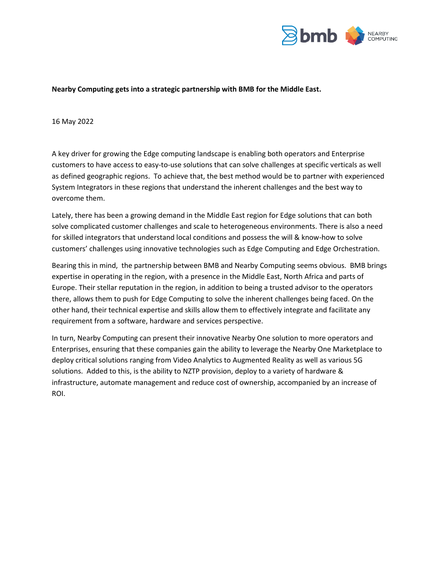

## **Nearby Computing gets into a strategic partnership with BMB for the Middle East.**

## 16 May 2022

A key driver for growing the Edge computing landscape is enabling both operators and Enterprise customers to have access to easy-to-use solutions that can solve challenges at specific verticals as well as defined geographic regions. To achieve that, the best method would be to partner with experienced System Integrators in these regions that understand the inherent challenges and the best way to overcome them.

Lately, there has been a growing demand in the Middle East region for Edge solutions that can both solve complicated customer challenges and scale to heterogeneous environments. There is also a need for skilled integrators that understand local conditions and possess the will & know-how to solve customers' challenges using innovative technologies such as Edge Computing and Edge Orchestration.

Bearing this in mind, the partnership between BMB and Nearby Computing seems obvious. BMB brings expertise in operating in the region, with a presence in the Middle East, North Africa and parts of Europe. Their stellar reputation in the region, in addition to being a trusted advisor to the operators there, allows them to push for Edge Computing to solve the inherent challenges being faced. On the other hand, their technical expertise and skills allow them to effectively integrate and facilitate any requirement from a software, hardware and services perspective.

In turn, Nearby Computing can present their innovative Nearby One solution to more operators and Enterprises, ensuring that these companies gain the ability to leverage the Nearby One Marketplace to deploy critical solutions ranging from Video Analytics to Augmented Reality as well as various 5G solutions. Added to this, is the ability to NZTP provision, deploy to a variety of hardware & infrastructure, automate management and reduce cost of ownership, accompanied by an increase of ROI.